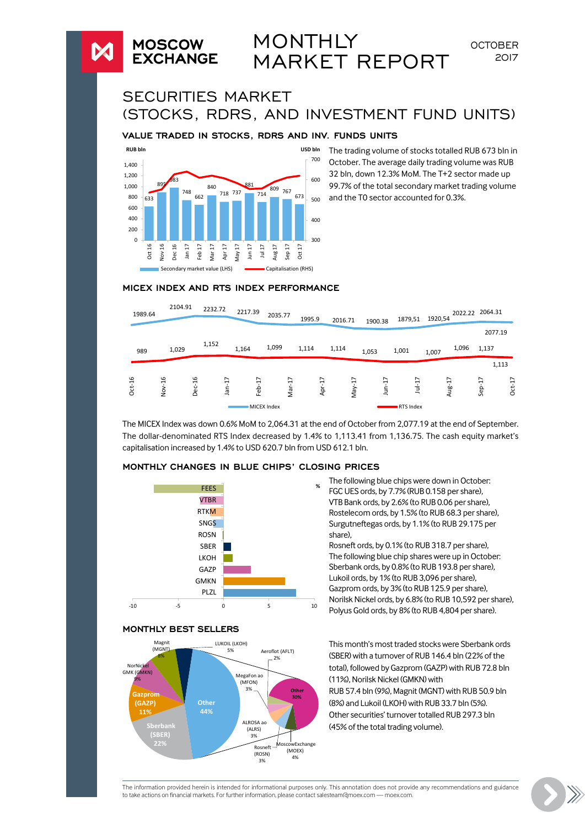# **MONTHLY** MARKET REPORT

SECURITIES MARKET (STOCKS, RDRS, AND INVESTMENT FUND UNITS)

#### **VALUE TRADED IN STOCKS, RDRS AND INV. FUNDS UNITS**



**MOSCOW EXCHANGE** 

> The trading volume of stocks totalled RUB 673 bln in October. The average daily trading volume was RUB 32 bln, down 12.3% MoM. The T+2 sector made up 99.7% of the total secondary market trading volume and the T0 sector accounted for 0.3%.

**OCTOBER** 2017

#### **MICEX INDEX AND RTS INDEX PERFORMANCE**

| 1989.64  | 2104.91                |        | 2232.72             | 2217.39 |                         | 2035.77     |            | 1995.9                                  | 2016.71 |                            | 1900.38 | 1879,51   | 1920,54 | 2022.22                 | 2064.31     |          |
|----------|------------------------|--------|---------------------|---------|-------------------------|-------------|------------|-----------------------------------------|---------|----------------------------|---------|-----------|---------|-------------------------|-------------|----------|
|          |                        |        |                     |         |                         |             |            |                                         |         |                            |         |           |         |                         |             | 2077.19  |
| 989      | 1,029                  |        | 1,152               | 1,164   |                         | 1,099       |            | 1,114                                   | 1,114   |                            | 1,053   | 1,001     | 1,007   | 1,096                   | 1,137       |          |
|          |                        |        |                     |         |                         |             |            |                                         |         |                            |         |           |         |                         |             | 1,113    |
| $Oct-16$ | $-16$<br>$\frac{8}{2}$ | Dec-16 | $\overline{ }$<br>T | å       | $\overline{ }$<br>Feb-1 |             | ÷.<br>var. | $\overline{ }$<br>÷<br>Apr <sub>-</sub> |         | $\overline{ }$<br>ب<br>VeW | Ġ<br>ŝ  | $Jul-17$  |         | $\overline{ }$<br>Aug-1 | LF-<br>Sep- | $Oct-17$ |
|          |                        |        |                     |         |                         | MICEX Index |            |                                         |         |                            |         | RTS Index |         |                         |             |          |

The MICEX Index was down 0.6% MoM to 2,064.31 at the end of October from 2,077.19 at the end of September. The dollar-denominated RTS Index decreased by 1.4% to 1,113.41 from 1,136.75. The cash equity market's capitalisation increased by 1.4% to USD 620.7 bln from USD 612.1 bln.



# **MONTHLY CHANGES IN BLUE CHIPS' CLOSING PRICES**





FEES **FEES EXECUTES FOLLOWING BLUE CHIPS WERE CHIPS WERE A 25 TO 24 FOLLOWING BLUE CHIPS AT TRACKLE CHIPS A 25 P AT TRACKLE CHIPS AT TRACKLE CHIPS AT TRACKLE CHIPS AT TRACKLE CHIPS AT TRACKLE CHIPS AT TRACKLE CHIPS A 2** FGC UES ords, by 7.7% (RUB 0.158 per share), VTB Bank ords, by 2.6% (to RUB 0.06 per share), Rostelecom ords, by 1.5% (to RUB 68.3 per share), Surgutneftegas ords, by 1.1% (to RUB 29.175 per share),

> Rosneft ords, by 0.1% (to RUB 318.7 per share), The following blue chip shares were up in October: Sberbank ords, by 0.8% (to RUB 193.8 per share), Lukoil ords, by 1% (to RUB 3,096 per share), Gazprom ords, by 3% (to RUB 125.9 per share), Norilsk Nickel ords, by 6.8% (to RUB 10,592 per share), Polyus Gold ords, by 8% (to RUB 4,804 per share).

This month's most traded stocks were Sberbank ords (SBER) with a turnover of RUB 146.4 bln (22% of the total), followed by Gazprom (GAZP) with RUB 72.8 bln (11%), Norilsk Nickel (GMKN) with RUB 57.4 bln (9%), Magnit (MGNT) with RUB 50.9 bln (8%) and Lukoil (LKOH) with RUB 33.7 bln (5%). Other securities' turnover totalled RUB 297.3 bln (45% of the total trading volume).

The information provided herein is intended for informational purposes only. This annotation does not provide any recommendations and guidance to take actions on financial markets. For further information, please contact salesteam@moex.com — [moex.com](http://moex.com).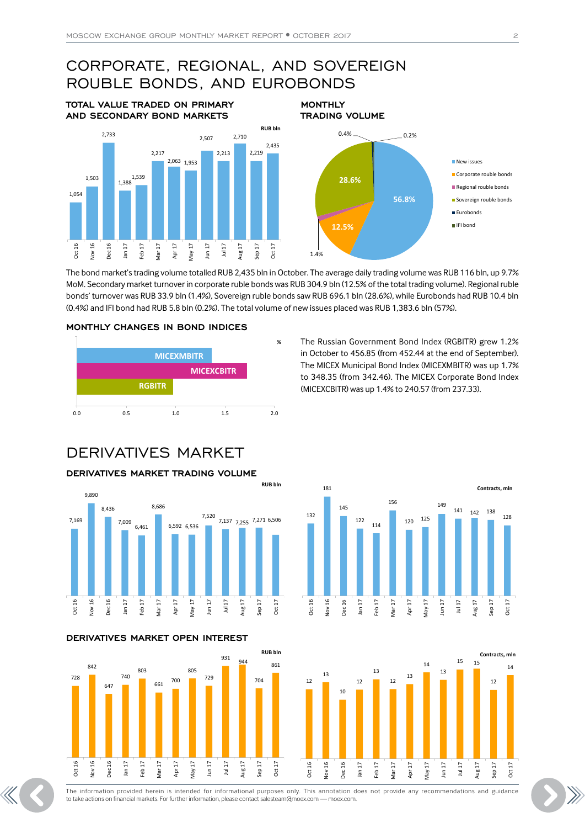### CORPORATE, REGIONAL, AND SOVEREIGN ROUBLE BONDS, AND EUROBONDS **MONTHLY**

**TOTAL VALUE TRADED ON PRIMARY AND SECONDARY BOND MARKETS**



**TRADING VOLUME 56.8% 12.5%** 1.4% **28.6%**  $0.4\%$  0.2% **New issues** Corporate rouble bonds Regional rouble bonds Sovereign rouble bonds **Eurobonds** IFI bond

The bond market's trading volume totalled RUB 2,435 bln in October. The average daily trading volume was RUB 116 bln, up 9.7% MoM. Secondary market turnover in corporate ruble bonds was RUB 304.9 bln (12.5% of the total trading volume). Regional ruble bonds' turnover was RUB 33.9 bln (1.4%), Sovereign ruble bonds saw RUB 696.1 bln (28.6%), while Eurobonds had RUB 10.4 bln (0.4%) and IFI bond had RUB 5.8 bln (0.2%). The total volume of new issues placed was RUB 1,383.6 bln (57%).

**RUB bln**

#### **MONTHLY CHANGES IN BOND INDICES**



**%** The Russian Government Bond Index (RGBITR) grew 1.2% in October to 456.85 (from 452.44 at the end of September). The MICEX Municipal Bond Index (MICEXMBITR) was up 1.7% to 348.35 (from 342.46). The MICEX Corporate Bond Index (MICEXCBITR) was up 1.4% to 240.57 (from 237.33).

## DERIVATIVES MARKET

#### **DERIVATIVES MARKET TRADING VOLUME**



#### **DERIVATIVES MARKET OPEN INTEREST**







Oct 16 Nov 16 Dec 16 Feb 17 Mar 17 Apr 17 May 17 Jun 17 Aug 17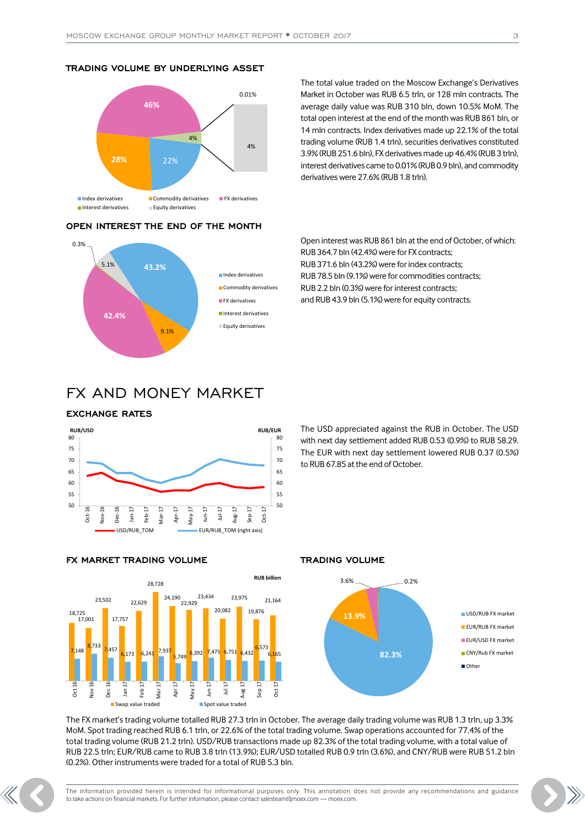#### **TRADING VOLUME BY UNDERLYING ASSET**



#### **OPEN INTEREST THE END OF THE MONTH**



The total value traded on the Moscow Exchange's Derivatives Market in October was RUB 6.5 trln, or 128 mln contracts. The average daily value was RUB 310 bln, down 10.5% MoM. The total open interest at the end of the month was RUB 861 bln, or 14 mln contracts. Index derivatives made up 22.1% of the total trading volume (RUB 1.4 trln), securities derivatives constituted 3.9% (RUB 251.6 bln), FX derivatives made up 46.4% (RUB 3 trln), interest derivatives came to 0.01% (RUB 0.9 bln), and commodity derivatives were 27.6% (RUB 1.8 trln).

Open interest was RUB 861 bln at the end of October, of which: RUB 364.7 bln (42.4%) were for FX contracts; RUB 371.6 bln (43.2%) were for index contracts; RUB 78.5 bln (9.1%) were for commodities contracts; RUB 2.2 bln (0.3%) were for interest contracts; and RUB 43.9 bln (5.1%) were for equity contracts.

### FX AND MONEY MARKET

#### **EXCHANGE RATES**



The USD appreciated against the RUB in October. The USD with next day settlement added RUB 0.53 (0.9%) to RUB 58.29. The EUR with next day settlement lowered RUB 0.37 (0.5%) to RUB 67.85 at the end of October.





#### **TRADING VOLUME**



The FX market's trading volume totalled RUB 27.3 trln in October. The average daily trading volume was RUB 1.3 trln, up 3.3% MoM. Spot trading reached RUB 6.1 trln, or 22.6% of the total trading volume. Swap operations accounted for 77.4% of the total trading volume (RUB 21.2 trln). USD/RUB transactions made up 82.3% of the total trading volume, with a total value of RUB 22.5 trln; EUR/RUB came to RUB 3.8 trln (13.9%); EUR/USD totalled RUB 0.9 trln (3.6%), and CNY/RUB were RUB 51.2 bln (0.2%). Other instruments were traded for a total of RUB 5.3 bln.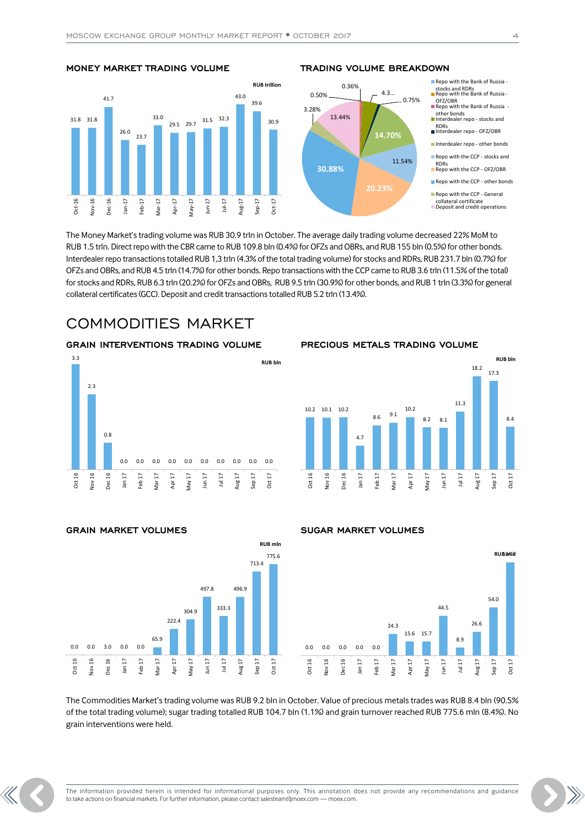



#### **TRADING VOLUME BREAKDOWN**



The Money Market's trading volume was RUB 30.9 trln in October. The average daily trading volume decreased 22% MoM to RUB 1.5 trln. Direct repo with the CBR came to RUB 109.8 bln (0.4%) for OFZs and OBRs, and RUB 155 bln (0.5%) for other bonds. Interdealer repo transactions totalled RUB 1,3 trln (4.3% of the total trading volume) for stocks and RDRs, RUB 231.7 bln (0.7%) for OFZs and OBRs, and RUB 4.5 trln (14.7%) for other bonds. Repo transactions with the CCP came to RUB 3.6 trln (11.5% of the total) for stocks and RDRs, RUB 6.3 trln (20.2%) for OFZs and OBRs, RUB 9.5 trln (30.9%) for other bonds, and RUB 1 trln (3.3%) for general collateral certificates (GCC). Deposit and credit transactions totalled RUB 5.2 trln (13.4%).

### COMMODITIES MARKET

#### **GRAIN INTERVENTIONS TRADING VOLUME**



#### **PRECIOUS METALS TRADING VOLUME**



#### **GRAIN MARKET VOLUMES**



#### **SUGAR MARKET VOLUMES**



The Commodities Market's trading volume was RUB 9.2 bln in October. Value of precious metals trades was RUB 8.4 bln (90.5% of the total trading volume); sugar trading totalled RUB 104.7 bln (1.1%) and grain turnover reached RUB 775.6 mln (8.4%). No grain interventions were held.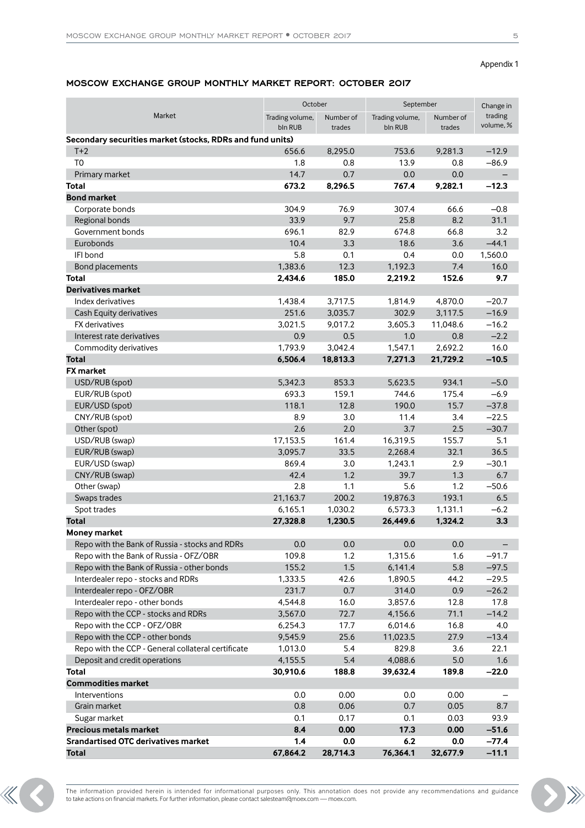Appendix 1

#### **MOSCOW EXCHANGE GROUP MONTHLY MARKET REPORT: OCTOBER 2017**

|                                                           | October         |           | September       |           | Change in            |
|-----------------------------------------------------------|-----------------|-----------|-----------------|-----------|----------------------|
| Market                                                    | Trading volume, | Number of | Trading volume, | Number of | trading<br>volume, % |
|                                                           | bln RUB         | trades    | bln RUB         | trades    |                      |
| Secondary securities market (stocks, RDRs and fund units) |                 |           |                 |           |                      |
| $T+2$                                                     | 656.6           | 8,295.0   | 753.6           | 9,281.3   | $-12.9$              |
| T <sub>0</sub>                                            | 1.8             | 0.8       | 13.9            | 0.8       | $-86.9$              |
| Primary market                                            | 14.7            | 0.7       | 0.0             | 0.0       |                      |
| Total                                                     | 673.2           | 8,296.5   | 767.4           | 9,282.1   | $-12.3$              |
| <b>Bond market</b>                                        |                 |           |                 |           |                      |
| Corporate bonds                                           | 304.9           | 76.9      | 307.4           | 66.6      | $-0.8$               |
| Regional bonds                                            | 33.9            | 9.7       | 25.8            | 8.2       | 31.1                 |
| Government bonds                                          | 696.1           | 82.9      | 674.8           | 66.8      | 3.2                  |
| Eurobonds                                                 | 10.4            | 3.3       | 18.6            | 3.6       | $-44.1$              |
| IFI bond                                                  | 5.8             | 0.1       | 0.4             | 0.0       | 1,560.0              |
| Bond placements                                           | 1,383.6         | 12.3      | 1,192.3         | 7.4       | 16.0                 |
| Total                                                     | 2,434.6         | 185.0     | 2,219.2         | 152.6     | 9.7                  |
| <b>Derivatives market</b>                                 |                 |           |                 |           |                      |
| Index derivatives                                         | 1,438.4         | 3,717.5   | 1,814.9         | 4,870.0   | $-20.7$              |
| Cash Equity derivatives                                   | 251.6           | 3,035.7   | 302.9           | 3,117.5   | $-16.9$              |
| <b>FX</b> derivatives                                     | 3.021.5         | 9,017.2   | 3,605.3         | 11,048.6  | $-16.2$              |
| Interest rate derivatives                                 | 0.9             | 0.5       | 1.0             | 0.8       | $-2.2$               |
| Commodity derivatives                                     | 1,793.9         | 3,042.4   | 1,547.1         | 2,692.2   | 16.0                 |
| <b>Total</b>                                              | 6,506.4         | 18,813.3  | 7,271.3         | 21,729.2  | $-10.5$              |
| <b>FX</b> market                                          |                 |           |                 |           |                      |
| USD/RUB (spot)                                            | 5,342.3         | 853.3     | 5,623.5         | 934.1     | $-5.0$               |
| EUR/RUB (spot)                                            | 693.3           | 159.1     | 744.6           | 175.4     | $-6.9$               |
| EUR/USD (spot)                                            | 118.1           | 12.8      | 190.0           | 15.7      | $-37.8$              |
| CNY/RUB (spot)                                            | 8.9             | 3.0       | 11.4            | 3.4       | $-22.5$              |
| Other (spot)                                              | 2.6             | 2.0       | 3.7             | 2.5       | $-30.7$              |
| USD/RUB (swap)                                            | 17,153.5        | 161.4     | 16,319.5        | 155.7     | 5.1                  |
| EUR/RUB (swap)                                            | 3,095.7         | 33.5      | 2,268.4         | 32.1      | 36.5                 |
| EUR/USD (swap)                                            | 869.4           | 3.0       | 1,243.1         | 2.9       | $-30.1$              |
| CNY/RUB (swap)                                            | 42.4            | 1.2       | 39.7            | 1.3       | 6.7                  |
| Other (swap)                                              | 2.8             | 1.1       | 5.6             | 1.2       | $-50.6$              |
| Swaps trades                                              | 21,163.7        | 200.2     | 19,876.3        | 193.1     | 6.5                  |
| Spot trades                                               | 6,165.1         | 1,030.2   | 6,573.3         | 1,131.1   | $-6.2$               |
| <b>Total</b>                                              | 27,328.8        | 1,230.5   | 26,449.6        | 1,324.2   | 3.3                  |
| Money market                                              |                 |           |                 |           |                      |
| Repo with the Bank of Russia - stocks and RDRs            | 0.0             | 0.0       | 0.0             | 0.0       |                      |
| Repo with the Bank of Russia - OFZ/OBR                    | 109.8           | 1.2       | 1,315.6         | 1.6       | $-91.7$              |
| Repo with the Bank of Russia - other bonds                | 155.2           | 1.5       | 6,141.4         | 5.8       | $-97.5$              |
| Interdealer repo - stocks and RDRs                        | 1,333.5         | 42.6      | 1,890.5         | 44.2      | $-29.5$              |
| Interdealer repo - OFZ/OBR                                | 231.7           | 0.7       | 314.0           | 0.9       | $-26.2$              |
| Interdealer repo - other bonds                            | 4,544.8         | 16.0      | 3,857.6         | 12.8      | 17.8                 |
| Repo with the CCP - stocks and RDRs                       | 3,567.0         | 72.7      | 4,156.6         | 71.1      | $-14.2$              |
| Repo with the CCP - OFZ/OBR                               | 6,254.3         | 17.7      | 6,014.6         | 16.8      | 4.0                  |
| Repo with the CCP - other bonds                           | 9,545.9         | 25.6      | 11,023.5        | 27.9      | $-13.4$              |
| Repo with the CCP - General collateral certificate        | 1,013.0         | 5.4       | 829.8           | 3.6       | 22.1                 |
| Deposit and credit operations                             | 4,155.5         | 5.4       | 4,088.6         | 5.0       | 1.6                  |
| Total                                                     | 30,910.6        | 188.8     | 39,632.4        | 189.8     | $-22.0$              |
| <b>Commodities market</b>                                 |                 |           |                 |           |                      |
| Interventions                                             | 0.0             | 0.00      | 0.0             | 0.00      |                      |
| Grain market                                              | 0.8             | 0.06      | 0.7             | 0.05      | 8.7                  |
| Sugar market                                              | 0.1             | 0.17      | 0.1             | 0.03      | 93.9                 |
| <b>Precious metals market</b>                             | 8.4             | 0.00      | 17.3            | 0.00      | $-51.6$              |
| <b>Srandartised OTC derivatives market</b>                | 1.4             | 0.0       | 6.2             | 0.0       | $-77.4$              |
| <b>Total</b>                                              | 67,864.2        | 28,714.3  | 76,364.1        | 32,677.9  | $-11.1$              |